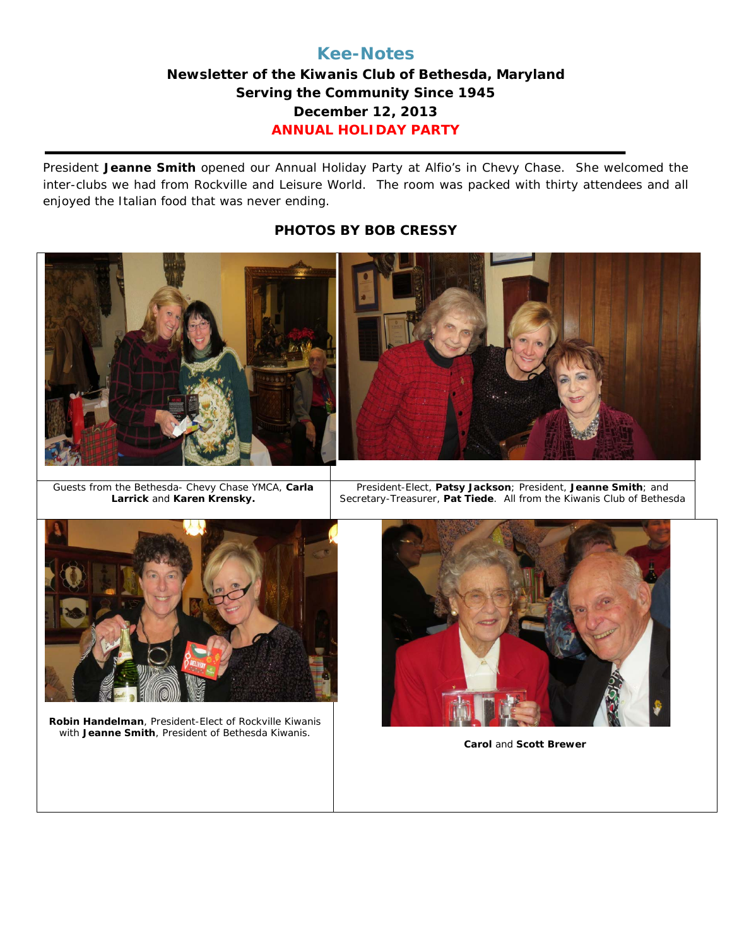## **Kee-Notes**

## **Newsletter of the Kiwanis Club of Bethesda, Maryland Serving the Community Since 1945 December 12, 2013 ANNUAL HOLIDAY PARTY**

President **Jeanne Smith** opened our Annual Holiday Party at Alfio's in Chevy Chase. She welcomed the inter-clubs we had from Rockville and Leisure World. The room was packed with thirty attendees and all enjoyed the Italian food that was never ending.

#### **PHOTOS BY BOB CRESSY**



Guests from the Bethesda- Chevy Chase YMCA, **Carla Larrick** and **Karen Krensky.**

President-Elect, **Patsy Jackson**; President, **Jeanne Smith**; and Secretary-Treasurer, **Pat Tiede**. All from the Kiwanis Club of Bethesda



**Robin Handelman**, President-Elect of Rockville Kiwanis with **Jeanne Smith**, President of Bethesda Kiwanis.



**Carol** and **Scott Brewer**